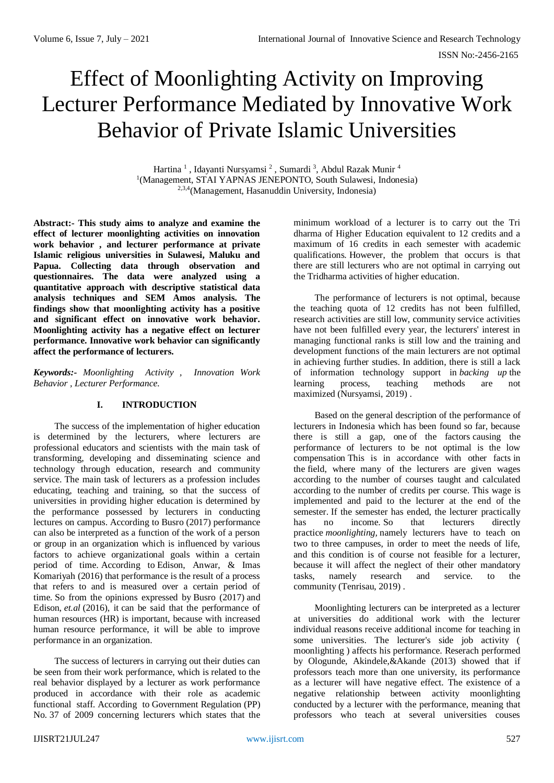# Effect of Moonlighting Activity on Improving Lecturer Performance Mediated by Innovative Work Behavior of Private Islamic Universities

Hartina<sup>1</sup>, Idayanti Nursyamsi<sup>2</sup>, Sumardi<sup>3</sup>, Abdul Razak Munir<sup>4</sup> <sup>1</sup>(Management, STAI YAPNAS JENEPONTO, South Sulawesi, Indonesia) 2,3,4(Management, Hasanuddin University, Indonesia)

**Abstract:- This study aims to analyze and examine the effect of lecturer moonlighting activities on innovation work behavior , and lecturer performance at private Islamic religious universities in Sulawesi, Maluku and Papua. Collecting data through observation and questionnaires. The data were analyzed using a quantitative approach with descriptive statistical data analysis techniques and SEM Amos analysis. The findings show that moonlighting activity has a positive and significant effect on innovative work behavior. Moonlighting activity has a negative effect on lecturer performance. Innovative work behavior can significantly affect the performance of lecturers.**

*Keywords:- Moonlighting Activity , Innovation Work Behavior , Lecturer Performance.*

## **I. INTRODUCTION**

The success of the implementation of higher education is determined by the lecturers, where lecturers are professional educators and scientists with the main task of transforming, developing and disseminating science and technology through education, research and community service. The main task of lecturers as a profession includes educating, teaching and training, so that the success of universities in providing higher education is determined by the performance possessed by lecturers in conducting lectures on campus. According to Busro (2017) performance can also be interpreted as a function of the work of a person or group in an organization which is influenced by various factors to achieve organizational goals within a certain period of time. According to Edison, Anwar, & Imas Komariyah (2016) that performance is the result of a process that refers to and is measured over a certain period of time. So from the opinions expressed by Busro (2017) and Edison, *et.al* (2016), it can be said that the performance of human resources (HR) is important, because with increased human resource performance, it will be able to improve performance in an organization.

The success of lecturers in carrying out their duties can be seen from their work performance, which is related to the real behavior displayed by a lecturer as work performance produced in accordance with their role as academic functional staff. According to Government Regulation (PP) No. 37 of 2009 concerning lecturers which states that the

minimum workload of a lecturer is to carry out the Tri dharma of Higher Education equivalent to 12 credits and a maximum of 16 credits in each semester with academic qualifications. However, the problem that occurs is that there are still lecturers who are not optimal in carrying out the Tridharma activities of higher education.

The performance of lecturers is not optimal, because the teaching quota of 12 credits has not been fulfilled, research activities are still low, community service activities have not been fulfilled every year, the lecturers' interest in managing functional ranks is still low and the training and development functions of the main lecturers are not optimal in achieving further studies. In addition, there is still a lack of information technology support in *backing up* the learning process, teaching methods are not maximized (Nursyamsi, 2019) .

Based on the general description of the performance of lecturers in Indonesia which has been found so far, because there is still a gap, one of the factors causing the performance of lecturers to be not optimal is the low compensation This is in accordance with other facts in the field, where many of the lecturers are given wages according to the number of courses taught and calculated according to the number of credits per course. This wage is implemented and paid to the lecturer at the end of the semester. If the semester has ended, the lecturer practically has no income. So that lecturers directly practice *moonlighting,* namely lecturers have to teach on two to three campuses, in order to meet the needs of life, and this condition is of course not feasible for a lecturer, because it will affect the neglect of their other mandatory tasks, namely research and service. to the community (Tenrisau, 2019) .

Moonlighting lecturers can be interpreted as a lecturer at universities do additional work with the lecturer individual reasons receive additional income for teaching in some universities. The lecturer's side job activity ( moonlighting ) affects his performance. Reserach performed by Ologunde, Akindele,&Akande (2013) showed that if professors teach more than one university, its performance as a lecturer will have negative effect. The existence of a negative relationship between activity moonlighting conducted by a lecturer with the performance, meaning that professors who teach at several universities couses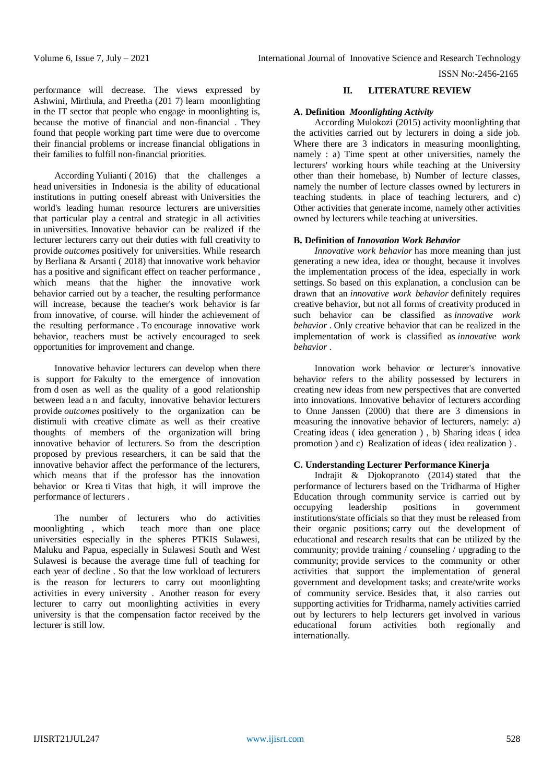ISSN No:-2456-2165

performance will decrease. The views expressed by Ashwini, Mirthula, and Preetha (201 7) learn moonlighting in the IT sector that people who engage in moonlighting is, because the motive of financial and non-financial . They found that people working part time were due to overcome their financial problems or increase financial obligations in their families to fulfill non-financial priorities.

According Yulianti ( 2016) that the challenges a head universities in Indonesia is the ability of educational institutions in putting oneself abreast with Universities the world's leading human resource lecturers are universities that particular play a central and strategic in all activities in universities. Innovative behavior can be realized if the lecturer lecturers carry out their duties with full creativity to provide *outcomes* positively for universities. While research by Berliana & Arsanti ( 2018) that innovative work behavior has a positive and significant effect on teacher performance. which means that the higher the innovative work behavior carried out by a teacher, the resulting performance will increase, because the teacher's work behavior is far from innovative, of course. will hinder the achievement of the resulting performance . To encourage innovative work behavior, teachers must be actively encouraged to seek opportunities for improvement and change.

Innovative behavior lecturers can develop when there is support for Fakulty to the emergence of innovation from d osen as well as the quality of a good relationship between lead a n and faculty, innovative behavior lecturers provide *outcomes* positively to the organization can be distimuli with creative climate as well as their creative thoughts of members of the organization will bring innovative behavior of lecturers. So from the description proposed by previous researchers, it can be said that the innovative behavior affect the performance of the lecturers, which means that if the professor has the innovation behavior or Krea ti Vitas that high, it will improve the performance of lecturers .

The number of lecturers who do activities moonlighting , which teach more than one place universities especially in the spheres PTKIS Sulawesi, Maluku and Papua, especially in Sulawesi South and West Sulawesi is because the average time full of teaching for each year of decline . So that the low workload of lecturers is the reason for lecturers to carry out moonlighting activities in every university . Another reason for every lecturer to carry out moonlighting activities in every university is that the compensation factor received by the lecturer is still low.

# **II. LITERATURE REVIEW**

# **A. Definition** *Moonlighting Activity*

According Mulokozi (2015) activity moonlighting that the activities carried out by lecturers in doing a side job. Where there are 3 indicators in measuring moonlighting, namely : a) Time spent at other universities, namely the lecturers' working hours while teaching at the University other than their homebase, b) Number of lecture classes, namely the number of lecture classes owned by lecturers in teaching students. in place of teaching lecturers, and c) Other activities that generate income, namely other activities owned by lecturers while teaching at universities.

### **B. Definition of** *Innovation Work Behavior*

*Innovative work behavior* has more meaning than just generating a new idea, idea or thought, because it involves the implementation process of the idea, especially in work settings. So based on this explanation, a conclusion can be drawn that an *innovative work behavior* definitely requires creative behavior, but not all forms of creativity produced in such behavior can be classified as *innovative work behavior* . Only creative behavior that can be realized in the implementation of work is classified as *innovative work behavior* .

Innovation work behavior or lecturer's innovative behavior refers to the ability possessed by lecturers in creating new ideas from new perspectives that are converted into innovations. Innovative behavior of lecturers according to Onne Janssen (2000) that there are 3 dimensions in measuring the innovative behavior of lecturers, namely: a) Creating ideas ( idea generation ) , b) Sharing ideas ( idea promotion ) and c) Realization of ideas ( idea realization ) .

## **C. Understanding Lecturer Performance Kinerja**

Indrajit  $\&$  Djokopranoto (2014) stated that the performance of lecturers based on the Tridharma of Higher Education through community service is carried out by occupying leadership positions in government occupying leadership positions in government institutions/state officials so that they must be released from their organic positions; carry out the development of educational and research results that can be utilized by the community; provide training / counseling / upgrading to the community; provide services to the community or other activities that support the implementation of general government and development tasks; and create/write works of community service. Besides that, it also carries out supporting activities for Tridharma, namely activities carried out by lecturers to help lecturers get involved in various educational forum activities both regionally and internationally.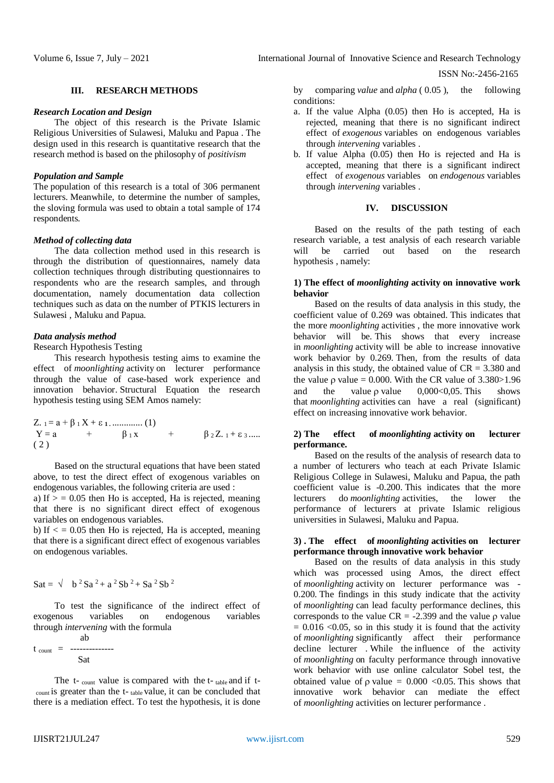ISSN No:-2456-2165

## **III. RESEARCH METHODS**

#### *Research Location and Design*

The object of this research is the Private Islamic Religious Universities of Sulawesi, Maluku and Papua . The design used in this research is quantitative research that the research method is based on the philosophy of *positivism*

#### *Population and Sample*

The population of this research is a total of 306 permanent lecturers. Meanwhile, to determine the number of samples, the sloving formula was used to obtain a total sample of 174 respondents.

#### *Method of collecting data*

The data collection method used in this research is through the distribution of questionnaires, namely data collection techniques through distributing questionnaires to respondents who are the research samples, and through documentation, namely documentation data collection techniques such as data on the number of PTKIS lecturers in Sulawesi , Maluku and Papua.

#### *Data analysis method*

Research Hypothesis Testing

This research hypothesis testing aims to examine the effect of *moonlighting* activity on lecturer performance through the value of case-based work experience and innovation behavior. Structural Equation the research hypothesis testing using SEM Amos namely:

Z. 
$$
1 = a + \beta_1 X + \epsilon_1
$$
............ (1)  
Y = a +  $\beta_1 x$  +  $\beta_2 Z$  1 +  $\epsilon_3$ ......  
(2)

Based on the structural equations that have been stated above, to test the direct effect of exogenous variables on endogenous variables, the following criteria are used : a) If  $>$  = 0.05 then Ho is accepted, Ha is rejected, meaning

that there is no significant direct effect of exogenous variables on endogenous variables.

b) If  $\epsilon$  = 0.05 then Ho is rejected, Ha is accepted, meaning that there is a significant direct effect of exogenous variables on endogenous variables.

$$
Sat = \sqrt{b^2 Sa^2 + a^2 Sb^2 + Sa^2 Sb^2}
$$

To test the significance of the indirect effect of exogenous variables on endogenous variables through *intervening* with the formula

$$
t_{\text{count}} = \frac{av}{Sat}
$$

ab

The  $t$ -  $_{\text{count}}$  value is compared with the  $t$ -  $_{\text{table}}$  and if  $t$ count is greater than the t- table value, it can be concluded that there is a mediation effect. To test the hypothesis, it is done

by comparing *value* and *alpha* ( 0.05 ), the following conditions:

- a. If the value Alpha (0.05) then Ho is accepted, Ha is rejected, meaning that there is no significant indirect effect of *exogenous* variables on endogenous variables through *intervening* variables .
- b. If value Alpha (0.05) then Ho is rejected and Ha is accepted, meaning that there is a significant indirect effect of *exogenous* variables on *endogenous* variables through *intervening* variables .

## **IV. DISCUSSION**

Based on the results of the path testing of each research variable, a test analysis of each research variable will be carried out based on the research hypothesis , namely:

## **1) The effect of** *moonlighting* **activity on innovative work behavior**

Based on the results of data analysis in this study, the coefficient value of 0.269 was obtained. This indicates that the more *moonlighting* activities , the more innovative work behavior will be. This shows that every increase in *moonlighting* activity will be able to increase innovative work behavior by 0.269. Then, from the results of data analysis in this study, the obtained value of  $CR = 3.380$  and the value  $\rho$  value = 0.000. With the CR value of 3.380>1.96 and the value  $\rho$  value 0,000 < 0,005. This shows that *moonlighting* activities can have a real (significant) effect on increasing innovative work behavior.

## **2) The effect of** *moonlighting* **activity on lecturer performance.**

Based on the results of the analysis of research data to a number of lecturers who teach at each Private Islamic Religious College in Sulawesi, Maluku and Papua, the path coefficient value is -0.200. This indicates that the more lecturers do *moonlighting* activities, the lower the performance of lecturers at private Islamic religious universities in Sulawesi, Maluku and Papua.

## **3) . The effect of** *moonlighting* **activities on lecturer performance through innovative work behavior**

Based on the results of data analysis in this study which was processed using Amos, the direct effect of *moonlighting* activity on lecturer performance was - 0.200. The findings in this study indicate that the activity of *moonlighting* can lead faculty performance declines, this corresponds to the value  $CR = -2.399$  and the value  $\alpha$  value  $= 0.016$  <0.05, so in this study it is found that the activity of *moonlighting* significantly affect their performance decline lecturer . While the influence of the activity of *moonlighting* on faculty performance through innovative work behavior with use online calculator Sobel test, the obtained value of  $\rho$  value = 0.000 < 0.05. This shows that innovative work behavior can mediate the effect of *moonlighting* activities on lecturer performance .